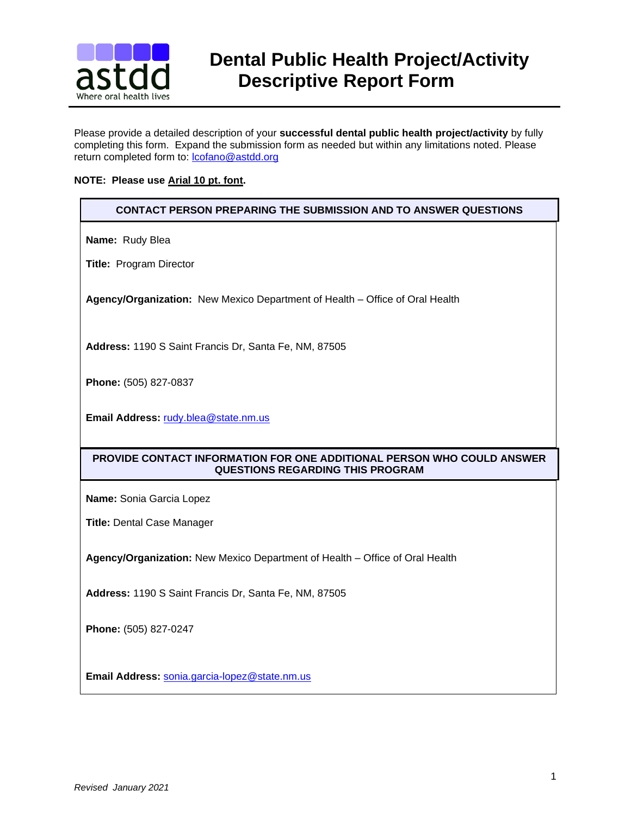

# **BULLE** Dental Public Health Project/Activity<br>**astdd** Descriptive Renort Form  **Descriptive Report Form**

Please provide a detailed description of your **successful dental public health project/activity** by fully completing this form. Expand the submission form as needed but within any limitations noted. Please return completed form to: [lcofano@astdd.org](mailto:lcofano@astdd.org)

#### **NOTE: Please use Arial 10 pt. font.**

## **CONTACT PERSON PREPARING THE SUBMISSION AND TO ANSWER QUESTIONS**

**Name:** Rudy Blea

**Title:** Program Director

**Agency/Organization:** New Mexico Department of Health – Office of Oral Health

**Address:** 1190 S Saint Francis Dr, Santa Fe, NM, 87505

**Phone:** (505) 827-0837

**Email Address:** [rudy.blea@state.nm.us](mailto:rudy.blea@state.nm.us) 

# **PROVIDE CONTACT INFORMATION FOR ONE ADDITIONAL PERSON WHO COULD ANSWER QUESTIONS REGARDING THIS PROGRAM**

**Name:** Sonia Garcia Lopez

**Title:** Dental Case Manager

**Agency/Organization:** New Mexico Department of Health – Office of Oral Health

**Address:** 1190 S Saint Francis Dr, Santa Fe, NM, 87505

**Phone:** (505) 827-0247

**Email Address:** [sonia.garcia-lopez@state.nm.us](mailto:sonia.garcia-lopez@state.nm.us)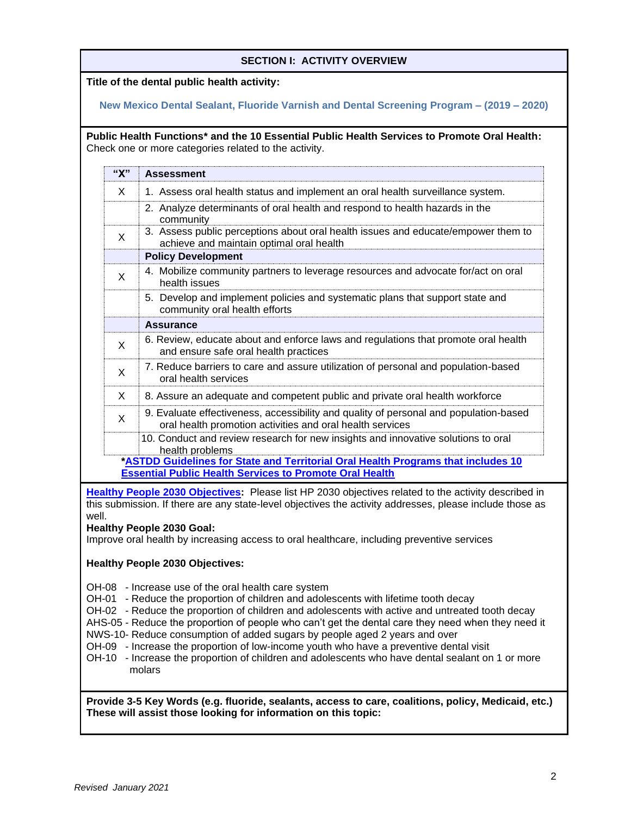## **SECTION I: ACTIVITY OVERVIEW**

## **Title of the dental public health activity:**

## **New Mexico Dental Sealant, Fluoride Varnish and Dental Screening Program – (2019 – 2020)**

**Public Health Functions\* and the 10 Essential Public Health Services to Promote Oral Health:**  Check one or more categories related to the activity.

| "X" | <b>Assessment</b>                                                                                                                                  |  |
|-----|----------------------------------------------------------------------------------------------------------------------------------------------------|--|
| X   | 1. Assess oral health status and implement an oral health surveillance system.                                                                     |  |
|     | 2. Analyze determinants of oral health and respond to health hazards in the<br>community                                                           |  |
| X   | 3. Assess public perceptions about oral health issues and educate/empower them to<br>achieve and maintain optimal oral health                      |  |
|     | <b>Policy Development</b>                                                                                                                          |  |
| X   | 4. Mobilize community partners to leverage resources and advocate for/act on oral<br>health issues                                                 |  |
|     | 5. Develop and implement policies and systematic plans that support state and<br>community oral health efforts                                     |  |
|     | <b>Assurance</b>                                                                                                                                   |  |
| X   | 6. Review, educate about and enforce laws and regulations that promote oral health<br>and ensure safe oral health practices                        |  |
| X   | 7. Reduce barriers to care and assure utilization of personal and population-based<br>oral health services                                         |  |
| X   | 8. Assure an adequate and competent public and private oral health workforce                                                                       |  |
| X   | 9. Evaluate effectiveness, accessibility and quality of personal and population-based<br>oral health promotion activities and oral health services |  |
|     | 10. Conduct and review research for new insights and innovative solutions to oral<br>health problems                                               |  |
|     | *ASTDD Guidelines for State and Territorial Oral Health Programs that includes 10                                                                  |  |
|     | <b>Essential Public Health Services to Promote Oral Health</b>                                                                                     |  |

**[Healthy People 2030 Objectives:](https://health.gov/healthypeople/objectives-and-data/browse-objectives/oral-conditions)** Please list HP 2030 objectives related to the activity described in this submission. If there are any state-level objectives the activity addresses, please include those as well.

#### **Healthy People 2030 Goal:**

Improve oral health by increasing access to oral healthcare, including preventive services

#### **Healthy People 2030 Objectives:**

- OH-08 Increase use of the oral health care system
- OH-01 Reduce the proportion of children and adolescents with lifetime tooth decay
- OH-02 Reduce the proportion of children and adolescents with active and untreated tooth decay
- AHS-05 Reduce the proportion of people who can't get the dental care they need when they need it
- NWS-10- Reduce consumption of added sugars by people aged 2 years and over
- OH-09 Increase the proportion of low-income youth who have a preventive dental visit
- OH-10 Increase the proportion of children and adolescents who have dental sealant on 1 or more molars

**Provide 3-5 Key Words (e.g. fluoride, sealants, access to care, coalitions, policy, Medicaid, etc.) These will assist those looking for information on this topic:**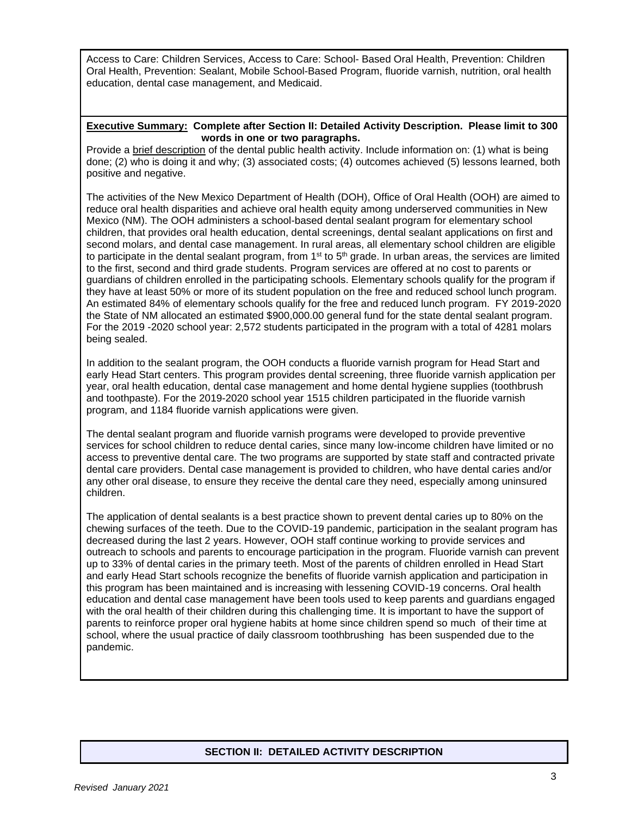Access to Care: Children Services, Access to Care: School- Based Oral Health, Prevention: Children Oral Health, Prevention: Sealant, Mobile School-Based Program, fluoride varnish, nutrition, oral health education, dental case management, and Medicaid.

#### **Executive Summary: Complete after Section II: Detailed Activity Description. Please limit to 300 words in one or two paragraphs.**

Provide a brief description of the dental public health activity. Include information on: (1) what is being done; (2) who is doing it and why; (3) associated costs; (4) outcomes achieved (5) lessons learned, both positive and negative.

The activities of the New Mexico Department of Health (DOH), Office of Oral Health (OOH) are aimed to reduce oral health disparities and achieve oral health equity among underserved communities in New Mexico (NM). The OOH administers a school-based dental sealant program for elementary school children, that provides oral health education, dental screenings, dental sealant applications on first and second molars, and dental case management. In rural areas, all elementary school children are eligible to participate in the dental sealant program, from  $1<sup>st</sup>$  to  $5<sup>th</sup>$  grade. In urban areas, the services are limited to the first, second and third grade students. Program services are offered at no cost to parents or guardians of children enrolled in the participating schools. Elementary schools qualify for the program if they have at least 50% or more of its student population on the free and reduced school lunch program. An estimated 84% of elementary schools qualify for the free and reduced lunch program. FY 2019-2020 the State of NM allocated an estimated \$900,000.00 general fund for the state dental sealant program. For the 2019 -2020 school year: 2,572 students participated in the program with a total of 4281 molars being sealed.

In addition to the sealant program, the OOH conducts a fluoride varnish program for Head Start and early Head Start centers. This program provides dental screening, three fluoride varnish application per year, oral health education, dental case management and home dental hygiene supplies (toothbrush and toothpaste). For the 2019-2020 school year 1515 children participated in the fluoride varnish program, and 1184 fluoride varnish applications were given.

The dental sealant program and fluoride varnish programs were developed to provide preventive services for school children to reduce dental caries, since many low-income children have limited or no access to preventive dental care. The two programs are supported by state staff and contracted private dental care providers. Dental case management is provided to children, who have dental caries and/or any other oral disease, to ensure they receive the dental care they need, especially among uninsured children.

The application of dental sealants is a best practice shown to prevent dental caries up to 80% on the chewing surfaces of the teeth. Due to the COVID-19 pandemic, participation in the sealant program has decreased during the last 2 years. However, OOH staff continue working to provide services and outreach to schools and parents to encourage participation in the program. Fluoride varnish can prevent up to 33% of dental caries in the primary teeth. Most of the parents of children enrolled in Head Start and early Head Start schools recognize the benefits of fluoride varnish application and participation in this program has been maintained and is increasing with lessening COVID-19 concerns. Oral health education and dental case management have been tools used to keep parents and guardians engaged with the oral health of their children during this challenging time. It is important to have the support of parents to reinforce proper oral hygiene habits at home since children spend so much of their time at school, where the usual practice of daily classroom toothbrushing has been suspended due to the pandemic.

# **SECTION II: DETAILED ACTIVITY DESCRIPTION**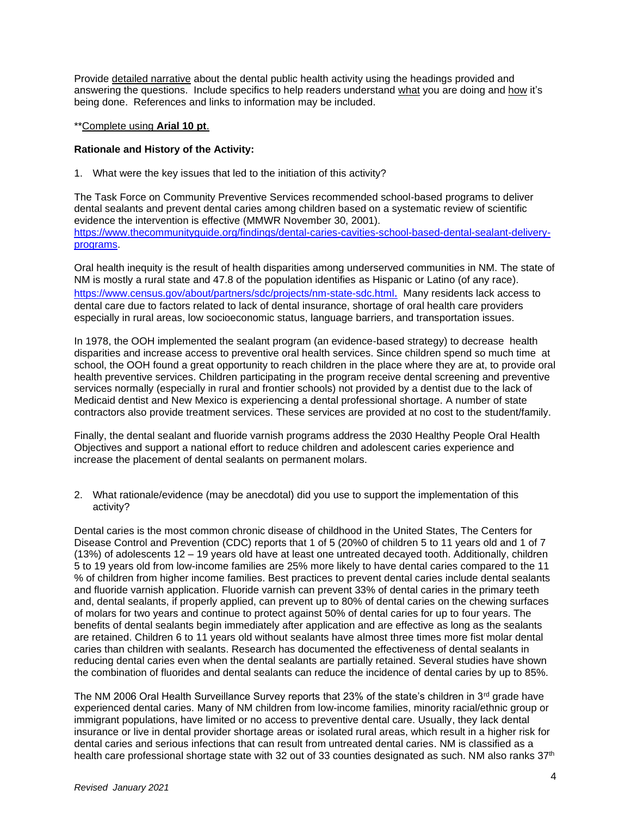Provide detailed narrative about the dental public health activity using the headings provided and answering the questions. Include specifics to help readers understand what you are doing and how it's being done. References and links to information may be included.

#### \*\*Complete using **Arial 10 pt**.

#### **Rationale and History of the Activity:**

1. What were the key issues that led to the initiation of this activity?

The Task Force on Community Preventive Services recommended school-based programs to deliver dental sealants and prevent dental caries among children based on a systematic review of scientific evidence the intervention is effective (MMWR November 30, 2001). [https://www.thecommunityguide.org/findings/dental-caries-cavities-school-based-dental-sealant-delivery](https://www.thecommunityguide.org/findings/dental-caries-cavities-school-based-dental-sealant-delivery-programs)[programs.](https://www.thecommunityguide.org/findings/dental-caries-cavities-school-based-dental-sealant-delivery-programs)

Oral health inequity is the result of health disparities among underserved communities in NM. The state of NM is mostly a rural state and 47.8 of the population identifies as Hispanic or Latino (of any race). <https://www.census.gov/about/partners/sdc/projects/nm-state-sdc.html>. Many residents lack access to dental care due to factors related to lack of dental insurance, shortage of oral health care providers especially in rural areas, low socioeconomic status, language barriers, and transportation issues.

In 1978, the OOH implemented the sealant program (an evidence-based strategy) to decrease health disparities and increase access to preventive oral health services. Since children spend so much time at school, the OOH found a great opportunity to reach children in the place where they are at, to provide oral health preventive services. Children participating in the program receive dental screening and preventive services normally (especially in rural and frontier schools) not provided by a dentist due to the lack of Medicaid dentist and New Mexico is experiencing a dental professional shortage. A number of state contractors also provide treatment services. These services are provided at no cost to the student/family.

Finally, the dental sealant and fluoride varnish programs address the 2030 Healthy People Oral Health Objectives and support a national effort to reduce children and adolescent caries experience and increase the placement of dental sealants on permanent molars.

2. What rationale/evidence (may be anecdotal) did you use to support the implementation of this activity?

Dental caries is the most common chronic disease of childhood in the United States, The Centers for Disease Control and Prevention (CDC) reports that 1 of 5 (20%0 of children 5 to 11 years old and 1 of 7 (13%) of adolescents 12 – 19 years old have at least one untreated decayed tooth. Additionally, children 5 to 19 years old from low-income families are 25% more likely to have dental caries compared to the 11 % of children from higher income families. Best practices to prevent dental caries include dental sealants and fluoride varnish application. Fluoride varnish can prevent 33% of dental caries in the primary teeth and, dental sealants, if properly applied, can prevent up to 80% of dental caries on the chewing surfaces of molars for two years and continue to protect against 50% of dental caries for up to four years. The benefits of dental sealants begin immediately after application and are effective as long as the sealants are retained. Children 6 to 11 years old without sealants have almost three times more fist molar dental caries than children with sealants. Research has documented the effectiveness of dental sealants in reducing dental caries even when the dental sealants are partially retained. Several studies have shown the combination of fluorides and dental sealants can reduce the incidence of dental caries by up to 85%.

The NM 2006 Oral Health Surveillance Survey reports that 23% of the state's children in 3rd grade have experienced dental caries. Many of NM children from low-income families, minority racial/ethnic group or immigrant populations, have limited or no access to preventive dental care. Usually, they lack dental insurance or live in dental provider shortage areas or isolated rural areas, which result in a higher risk for dental caries and serious infections that can result from untreated dental caries. NM is classified as a health care professional shortage state with 32 out of 33 counties designated as such. NM also ranks 37<sup>th</sup>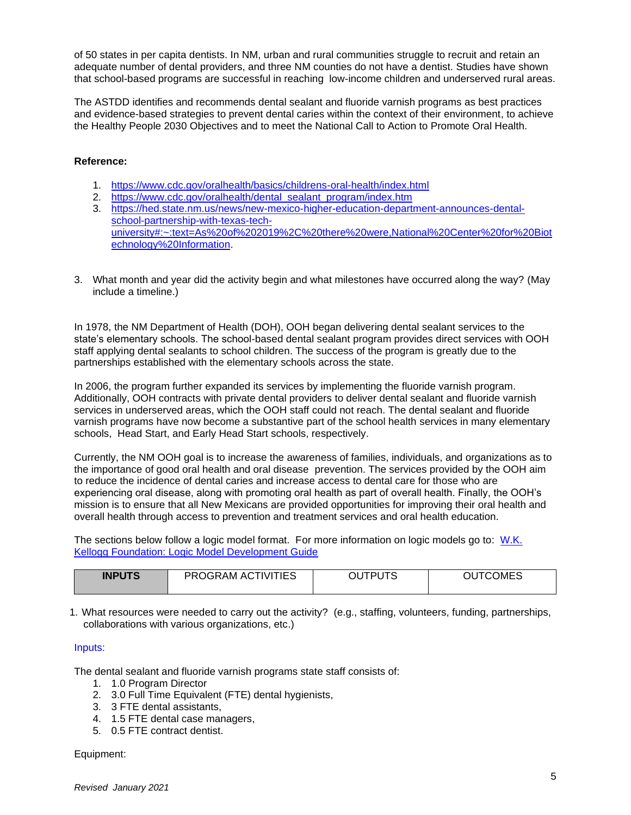of 50 states in per capita dentists. In NM, urban and rural communities struggle to recruit and retain an adequate number of dental providers, and three NM counties do not have a dentist. Studies have shown that school-based programs are successful in reaching low-income children and underserved rural areas.

The ASTDD identifies and recommends dental sealant and fluoride varnish programs as best practices and evidence-based strategies to prevent dental caries within the context of their environment, to achieve the Healthy People 2030 Objectives and to meet the National Call to Action to Promote Oral Health.

## **Reference:**

- 1. <https://www.cdc.gov/oralhealth/basics/childrens-oral-health/index.html>
- 2. [https://www.cdc.gov/oralhealth/dental\\_sealant\\_program/index.htm](https://www.cdc.gov/oralhealth/dental_sealant_program/index.htm)
- 3. [https://hed.state.nm.us/news/new-mexico-higher-education-department-announces-dental](https://hed.state.nm.us/news/new-mexico-higher-education-department-announces-dental-school-partnership-with-texas-tech-university#:~:text=As%20of%202019%2C%20there%20were,National%20Center%20for%20Biotechnology%20Information)[school-partnership-with-texas-tech](https://hed.state.nm.us/news/new-mexico-higher-education-department-announces-dental-school-partnership-with-texas-tech-university#:~:text=As%20of%202019%2C%20there%20were,National%20Center%20for%20Biotechnology%20Information)[university#:~:text=As%20of%202019%2C%20there%20were,National%20Center%20for%20Biot](https://hed.state.nm.us/news/new-mexico-higher-education-department-announces-dental-school-partnership-with-texas-tech-university#:~:text=As%20of%202019%2C%20there%20were,National%20Center%20for%20Biotechnology%20Information) [echnology%20Information.](https://hed.state.nm.us/news/new-mexico-higher-education-department-announces-dental-school-partnership-with-texas-tech-university#:~:text=As%20of%202019%2C%20there%20were,National%20Center%20for%20Biotechnology%20Information)
- 3. What month and year did the activity begin and what milestones have occurred along the way? (May include a timeline.)

In 1978, the NM Department of Health (DOH), OOH began delivering dental sealant services to the state's elementary schools. The school-based dental sealant program provides direct services with OOH staff applying dental sealants to school children. The success of the program is greatly due to the partnerships established with the elementary schools across the state.

In 2006, the program further expanded its services by implementing the fluoride varnish program. Additionally, OOH contracts with private dental providers to deliver dental sealant and fluoride varnish services in underserved areas, which the OOH staff could not reach. The dental sealant and fluoride varnish programs have now become a substantive part of the school health services in many elementary schools, Head Start, and Early Head Start schools, respectively.

Currently, the NM OOH goal is to increase the awareness of families, individuals, and organizations as to the importance of good oral health and oral disease prevention. The services provided by the OOH aim to reduce the incidence of dental caries and increase access to dental care for those who are experiencing oral disease, along with promoting oral health as part of overall health. Finally, the OOH's mission is to ensure that all New Mexicans are provided opportunities for improving their oral health and overall health through access to prevention and treatment services and oral health education.

The sections below follow a logic model format. For more information on logic models go to: [W.K.](http://www.exinfm.com/training/pdfiles/logicModel.pdf)  [Kellogg Foundation: Logic Model Development Guide](http://www.exinfm.com/training/pdfiles/logicModel.pdf)

| <b>INPUTS</b> | PROGRAM ACTIVITIES | סדו וסדו ור<br>υU<br>ັ | <b>OUTCOMES</b> |
|---------------|--------------------|------------------------|-----------------|
|               |                    |                        |                 |

1. What resources were needed to carry out the activity? (e.g., staffing, volunteers, funding, partnerships, collaborations with various organizations, etc.)

#### Inputs:

The dental sealant and fluoride varnish programs state staff consists of:

- 1. 1.0 Program Director
- 2. 3.0 Full Time Equivalent (FTE) dental hygienists,
- 3. 3 FTE dental assistants,
- 4. 1.5 FTE dental case managers,
- 5. 0.5 FTE contract dentist.

#### Equipment: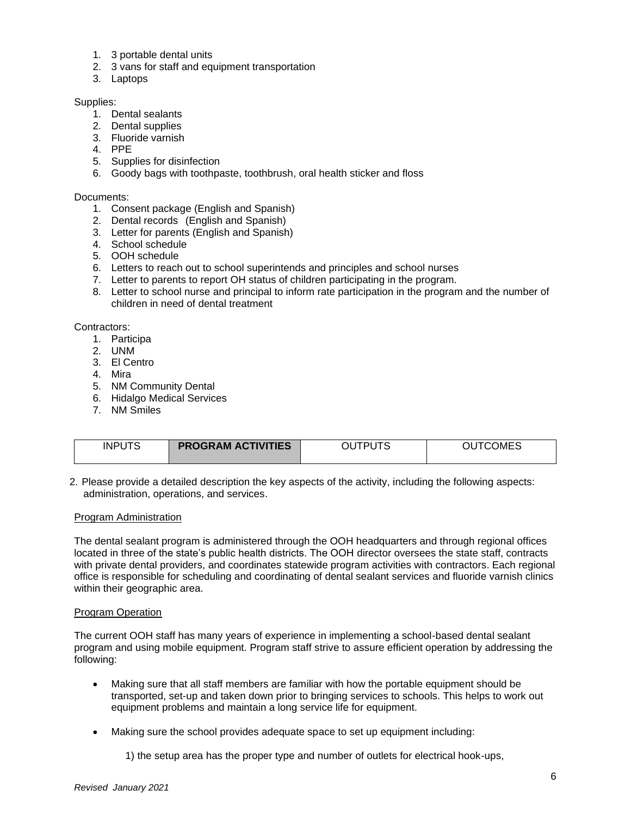- 1. 3 portable dental units
- 2. 3 vans for staff and equipment transportation
- 3. Laptops

#### Supplies:

- 1. Dental sealants
- 2. Dental supplies
- 3. Fluoride varnish
- 4. PPE
- 5. Supplies for disinfection
- 6. Goody bags with toothpaste, toothbrush, oral health sticker and floss

#### Documents:

- 1. Consent package (English and Spanish)
- 2. Dental records (English and Spanish)
- 3. Letter for parents (English and Spanish)
- 4. School schedule
- 5. OOH schedule
- 6. Letters to reach out to school superintends and principles and school nurses
- 7. Letter to parents to report OH status of children participating in the program.
- 8. Letter to school nurse and principal to inform rate participation in the program and the number of children in need of dental treatment

Contractors:

- 1. Participa
- 2. UNM
- 3. El Centro
- 4. Mira
- 5. NM Community Dental
- 6. Hidalgo Medical Services
- 7. NM Smiles

| <b>INPUTS</b> | <b>PROGRAM ACTIVITIES</b> | <b>TPUTS</b><br>าเ | OUTCOMES |
|---------------|---------------------------|--------------------|----------|

2. Please provide a detailed description the key aspects of the activity, including the following aspects: administration, operations, and services.

#### Program Administration

The dental sealant program is administered through the OOH headquarters and through regional offices located in three of the state's public health districts. The OOH director oversees the state staff, contracts with private dental providers, and coordinates statewide program activities with contractors. Each regional office is responsible for scheduling and coordinating of dental sealant services and fluoride varnish clinics within their geographic area.

#### Program Operation

The current OOH staff has many years of experience in implementing a school-based dental sealant program and using mobile equipment. Program staff strive to assure efficient operation by addressing the following:

- Making sure that all staff members are familiar with how the portable equipment should be transported, set-up and taken down prior to bringing services to schools. This helps to work out equipment problems and maintain a long service life for equipment.
- Making sure the school provides adequate space to set up equipment including:
	- 1) the setup area has the proper type and number of outlets for electrical hook-ups,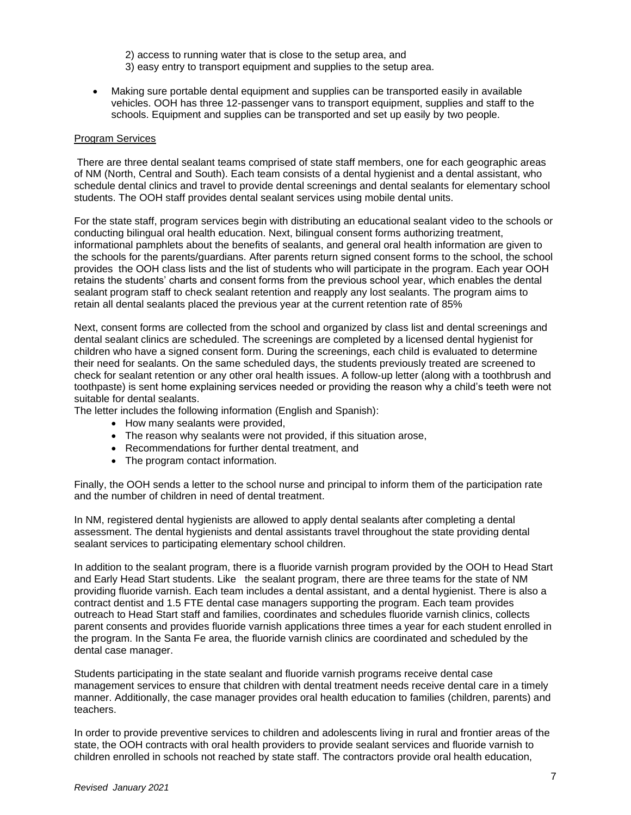- 2) access to running water that is close to the setup area, and
- 3) easy entry to transport equipment and supplies to the setup area.
- Making sure portable dental equipment and supplies can be transported easily in available vehicles. OOH has three 12-passenger vans to transport equipment, supplies and staff to the schools. Equipment and supplies can be transported and set up easily by two people.

#### Program Services

There are three dental sealant teams comprised of state staff members, one for each geographic areas of NM (North, Central and South). Each team consists of a dental hygienist and a dental assistant, who schedule dental clinics and travel to provide dental screenings and dental sealants for elementary school students. The OOH staff provides dental sealant services using mobile dental units.

For the state staff, program services begin with distributing an educational sealant video to the schools or conducting bilingual oral health education. Next, bilingual consent forms authorizing treatment, informational pamphlets about the benefits of sealants, and general oral health information are given to the schools for the parents/guardians. After parents return signed consent forms to the school, the school provides the OOH class lists and the list of students who will participate in the program. Each year OOH retains the students' charts and consent forms from the previous school year, which enables the dental sealant program staff to check sealant retention and reapply any lost sealants. The program aims to retain all dental sealants placed the previous year at the current retention rate of 85%

Next, consent forms are collected from the school and organized by class list and dental screenings and dental sealant clinics are scheduled. The screenings are completed by a licensed dental hygienist for children who have a signed consent form. During the screenings, each child is evaluated to determine their need for sealants. On the same scheduled days, the students previously treated are screened to check for sealant retention or any other oral health issues. A follow-up letter (along with a toothbrush and toothpaste) is sent home explaining services needed or providing the reason why a child's teeth were not suitable for dental sealants.

The letter includes the following information (English and Spanish):

- How many sealants were provided,
- The reason why sealants were not provided, if this situation arose,
- Recommendations for further dental treatment, and
- The program contact information.

Finally, the OOH sends a letter to the school nurse and principal to inform them of the participation rate and the number of children in need of dental treatment.

In NM, registered dental hygienists are allowed to apply dental sealants after completing a dental assessment. The dental hygienists and dental assistants travel throughout the state providing dental sealant services to participating elementary school children.

In addition to the sealant program, there is a fluoride varnish program provided by the OOH to Head Start and Early Head Start students. Like the sealant program, there are three teams for the state of NM providing fluoride varnish. Each team includes a dental assistant, and a dental hygienist. There is also a contract dentist and 1.5 FTE dental case managers supporting the program. Each team provides outreach to Head Start staff and families, coordinates and schedules fluoride varnish clinics, collects parent consents and provides fluoride varnish applications three times a year for each student enrolled in the program. In the Santa Fe area, the fluoride varnish clinics are coordinated and scheduled by the dental case manager.

Students participating in the state sealant and fluoride varnish programs receive dental case management services to ensure that children with dental treatment needs receive dental care in a timely manner. Additionally, the case manager provides oral health education to families (children, parents) and teachers.

In order to provide preventive services to children and adolescents living in rural and frontier areas of the state, the OOH contracts with oral health providers to provide sealant services and fluoride varnish to children enrolled in schools not reached by state staff. The contractors provide oral health education,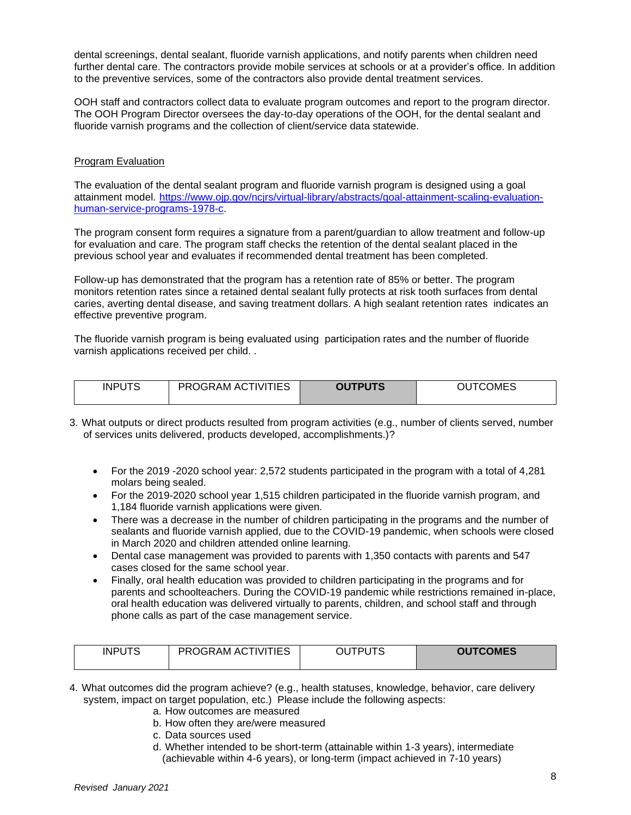dental screenings, dental sealant, fluoride varnish applications, and notify parents when children need further dental care. The contractors provide mobile services at schools or at a provider's office. In addition to the preventive services, some of the contractors also provide dental treatment services.

OOH staff and contractors collect data to evaluate program outcomes and report to the program director. The OOH Program Director oversees the day-to-day operations of the OOH, for the dental sealant and fluoride varnish programs and the collection of client/service data statewide.

#### Program Evaluation

The evaluation of the dental sealant program and fluoride varnish program is designed using a goal attainment model. [https://www.ojp.gov/ncjrs/virtual-library/abstracts/goal-attainment-scaling-evaluation](https://www.ojp.gov/ncjrs/virtual-library/abstracts/goal-attainment-scaling-evaluation-human-service-programs-1978-c)[human-service-programs-1978-c.](https://www.ojp.gov/ncjrs/virtual-library/abstracts/goal-attainment-scaling-evaluation-human-service-programs-1978-c)

The program consent form requires a signature from a parent/guardian to allow treatment and follow-up for evaluation and care. The program staff checks the retention of the dental sealant placed in the previous school year and evaluates if recommended dental treatment has been completed.

Follow-up has demonstrated that the program has a retention rate of 85% or better. The program monitors retention rates since a retained dental sealant fully protects at risk tooth surfaces from dental caries, averting dental disease, and saving treatment dollars. A high sealant retention rates indicates an effective preventive program.

The fluoride varnish program is being evaluated using participation rates and the number of fluoride varnish applications received per child. .

| <b>INPUTS</b> | TIES<br><b>PROGRAM ACT</b><br>NIT. | <b>DUTPUTS</b> | OMES<br>OU |
|---------------|------------------------------------|----------------|------------|
|               |                                    |                |            |

- 3. What outputs or direct products resulted from program activities (e.g., number of clients served, number of services units delivered, products developed, accomplishments.)?
	- For the 2019 -2020 school year: 2,572 students participated in the program with a total of 4,281 molars being sealed.
	- For the 2019-2020 school year 1,515 children participated in the fluoride varnish program, and 1,184 fluoride varnish applications were given.
	- There was a decrease in the number of children participating in the programs and the number of sealants and fluoride varnish applied, due to the COVID-19 pandemic, when schools were closed in March 2020 and children attended online learning.
	- Dental case management was provided to parents with 1,350 contacts with parents and 547 cases closed for the same school year.
	- Finally, oral health education was provided to children participating in the programs and for parents and schoolteachers. During the COVID-19 pandemic while restrictions remained in-place, oral health education was delivered virtually to parents, children, and school staff and through phone calls as part of the case management service.

| <b>INPUTS</b> | PROGRAM ACTIVITIES | <b>OUTCOMES</b> |
|---------------|--------------------|-----------------|
|               |                    |                 |

- 4. What outcomes did the program achieve? (e.g., health statuses, knowledge, behavior, care delivery system, impact on target population, etc.) Please include the following aspects:
	- a. How outcomes are measured
	- b. How often they are/were measured
	- c. Data sources used
	- d. Whether intended to be short-term (attainable within 1-3 years), intermediate (achievable within 4-6 years), or long-term (impact achieved in 7-10 years)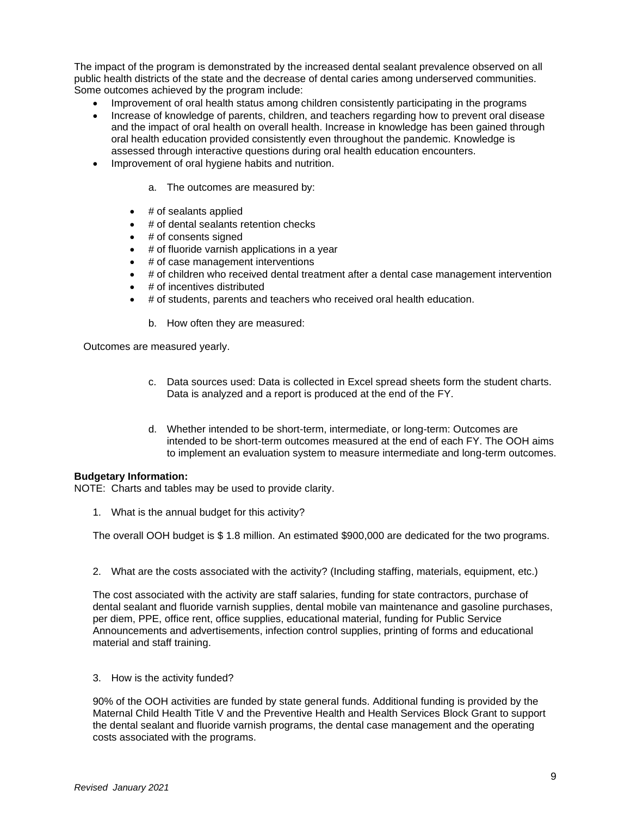The impact of the program is demonstrated by the increased dental sealant prevalence observed on all public health districts of the state and the decrease of dental caries among underserved communities. Some outcomes achieved by the program include:

- Improvement of oral health status among children consistently participating in the programs
- Increase of knowledge of parents, children, and teachers regarding how to prevent oral disease and the impact of oral health on overall health. Increase in knowledge has been gained through oral health education provided consistently even throughout the pandemic. Knowledge is assessed through interactive questions during oral health education encounters.
- Improvement of oral hygiene habits and nutrition.
	- a. The outcomes are measured by:
	- $\bullet$  # of sealants applied
	- # of dental sealants retention checks
	- # of consents signed
	- # of fluoride varnish applications in a year
	- # of case management interventions
	- # of children who received dental treatment after a dental case management intervention
	- # of incentives distributed
	- # of students, parents and teachers who received oral health education.
		- b. How often they are measured:

Outcomes are measured yearly.

- c. Data sources used: Data is collected in Excel spread sheets form the student charts. Data is analyzed and a report is produced at the end of the FY.
- d. Whether intended to be short-term, intermediate, or long-term: Outcomes are intended to be short-term outcomes measured at the end of each FY. The OOH aims to implement an evaluation system to measure intermediate and long-term outcomes.

#### **Budgetary Information:**

NOTE: Charts and tables may be used to provide clarity.

1. What is the annual budget for this activity?

The overall OOH budget is \$ 1.8 million. An estimated \$900,000 are dedicated for the two programs.

2. What are the costs associated with the activity? (Including staffing, materials, equipment, etc.)

The cost associated with the activity are staff salaries, funding for state contractors, purchase of dental sealant and fluoride varnish supplies, dental mobile van maintenance and gasoline purchases, per diem, PPE, office rent, office supplies, educational material, funding for Public Service Announcements and advertisements, infection control supplies, printing of forms and educational material and staff training.

3. How is the activity funded?

90% of the OOH activities are funded by state general funds. Additional funding is provided by the Maternal Child Health Title V and the Preventive Health and Health Services Block Grant to support the dental sealant and fluoride varnish programs, the dental case management and the operating costs associated with the programs.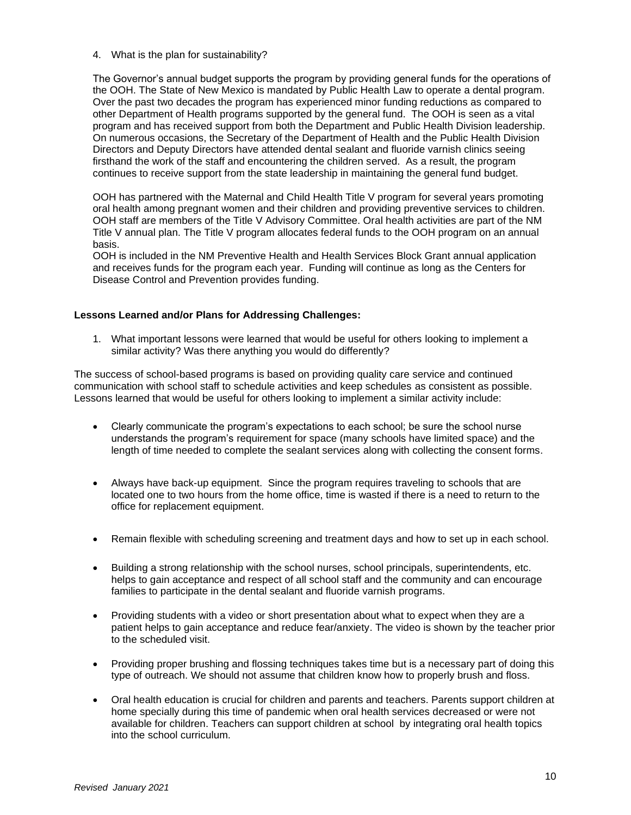4. What is the plan for sustainability?

The Governor's annual budget supports the program by providing general funds for the operations of the OOH. The State of New Mexico is mandated by Public Health Law to operate a dental program. Over the past two decades the program has experienced minor funding reductions as compared to other Department of Health programs supported by the general fund. The OOH is seen as a vital program and has received support from both the Department and Public Health Division leadership. On numerous occasions, the Secretary of the Department of Health and the Public Health Division Directors and Deputy Directors have attended dental sealant and fluoride varnish clinics seeing firsthand the work of the staff and encountering the children served. As a result, the program continues to receive support from the state leadership in maintaining the general fund budget.

OOH has partnered with the Maternal and Child Health Title V program for several years promoting oral health among pregnant women and their children and providing preventive services to children. OOH staff are members of the Title V Advisory Committee. Oral health activities are part of the NM Title V annual plan. The Title V program allocates federal funds to the OOH program on an annual basis.

OOH is included in the NM Preventive Health and Health Services Block Grant annual application and receives funds for the program each year. Funding will continue as long as the Centers for Disease Control and Prevention provides funding.

#### **Lessons Learned and/or Plans for Addressing Challenges:**

1. What important lessons were learned that would be useful for others looking to implement a similar activity? Was there anything you would do differently?

The success of school-based programs is based on providing quality care service and continued communication with school staff to schedule activities and keep schedules as consistent as possible. Lessons learned that would be useful for others looking to implement a similar activity include:

- Clearly communicate the program's expectations to each school; be sure the school nurse understands the program's requirement for space (many schools have limited space) and the length of time needed to complete the sealant services along with collecting the consent forms.
- Always have back-up equipment. Since the program requires traveling to schools that are located one to two hours from the home office, time is wasted if there is a need to return to the office for replacement equipment.
- Remain flexible with scheduling screening and treatment days and how to set up in each school.
- Building a strong relationship with the school nurses, school principals, superintendents, etc. helps to gain acceptance and respect of all school staff and the community and can encourage families to participate in the dental sealant and fluoride varnish programs.
- Providing students with a video or short presentation about what to expect when they are a patient helps to gain acceptance and reduce fear/anxiety. The video is shown by the teacher prior to the scheduled visit.
- Providing proper brushing and flossing techniques takes time but is a necessary part of doing this type of outreach. We should not assume that children know how to properly brush and floss.
- Oral health education is crucial for children and parents and teachers. Parents support children at home specially during this time of pandemic when oral health services decreased or were not available for children. Teachers can support children at school by integrating oral health topics into the school curriculum.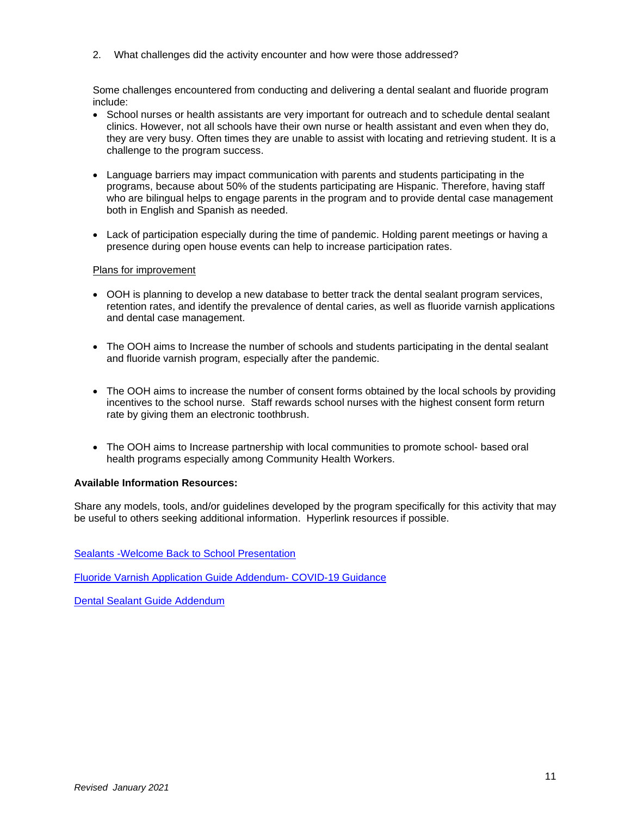2. What challenges did the activity encounter and how were those addressed?

Some challenges encountered from conducting and delivering a dental sealant and fluoride program include:

- School nurses or health assistants are very important for outreach and to schedule dental sealant clinics. However, not all schools have their own nurse or health assistant and even when they do, they are very busy. Often times they are unable to assist with locating and retrieving student. It is a challenge to the program success.
- Language barriers may impact communication with parents and students participating in the programs, because about 50% of the students participating are Hispanic. Therefore, having staff who are bilingual helps to engage parents in the program and to provide dental case management both in English and Spanish as needed.
- Lack of participation especially during the time of pandemic. Holding parent meetings or having a presence during open house events can help to increase participation rates.

#### Plans for improvement

- OOH is planning to develop a new database to better track the dental sealant program services, retention rates, and identify the prevalence of dental caries, as well as fluoride varnish applications and dental case management.
- The OOH aims to Increase the number of schools and students participating in the dental sealant and fluoride varnish program, especially after the pandemic.
- The OOH aims to increase the number of consent forms obtained by the local schools by providing incentives to the school nurse. Staff rewards school nurses with the highest consent form return rate by giving them an electronic toothbrush.
- The OOH aims to Increase partnership with local communities to promote school- based oral health programs especially among Community Health Workers.

#### **Available Information Resources:**

Share any models, tools, and/or guidelines developed by the program specifically for this activity that may be useful to others seeking additional information. Hyperlink resources if possible.

[Sealants -Welcome Back to School Presentation](https://www.astdd.org/docs/nmdoh-sealant-presentation.pdf)

[Fluoride Varnish Application Guide Addendum-](https://www.astdd.org/docs/nmdoh-covid-19-guidance-topical-fluoride-application.pdf) COVID-19 Guidance

[Dental Sealant Guide Addendum](https://www.astdd.org/docs/nmdoh-covid-19-guidance-dental-sealant.pdf)